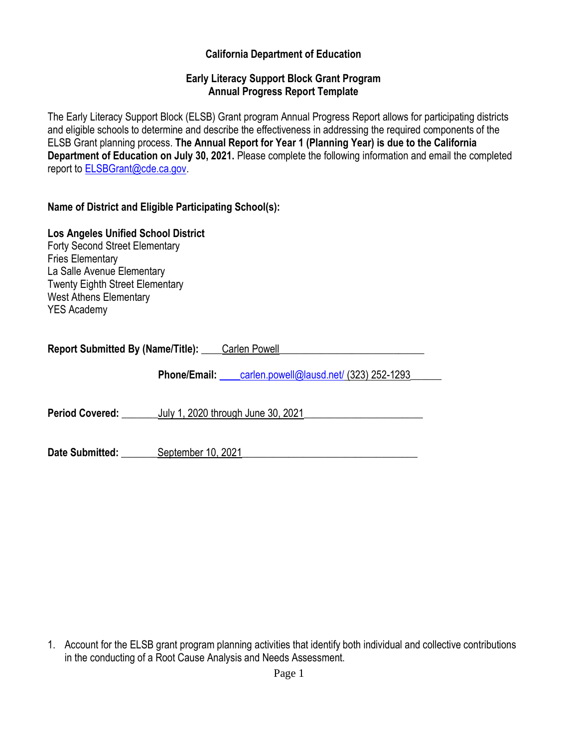#### **California Department of Education**

#### **Early Literacy Support Block Grant Program Annual Progress Report Template**

The Early Literacy Support Block (ELSB) Grant program Annual Progress Report allows for participating districts and eligible schools to determine and describe the effectiveness in addressing the required components of the ELSB Grant planning process. **The Annual Report for Year 1 (Planning Year) is due to the California Department of Education on July 30, 2021.** Please complete the following information and email the completed report to [ELSBGrant@cde.ca.gov.](mailto:ELSBGrant@cde.ca.gov)

#### **Name of District and Eligible Participating School(s):**

# **Los Angeles Unified School District**

Forty Second Street Elementary Fries Elementary La Salle Avenue Elementary Twenty Eighth Street Elementary West Athens Elementary YES Academy

**Report Submitted By (Name/Title): Carlen Powell** 

**Phone/Email:** carlen.powell@lausd.net/ (323) 252-1293

**Period Covered:** July 1, 2020 through June 30, 2021

**Date Submitted:** September 10, 2021

1. Account for the ELSB grant program planning activities that identify both individual and collective contributions in the conducting of a Root Cause Analysis and Needs Assessment.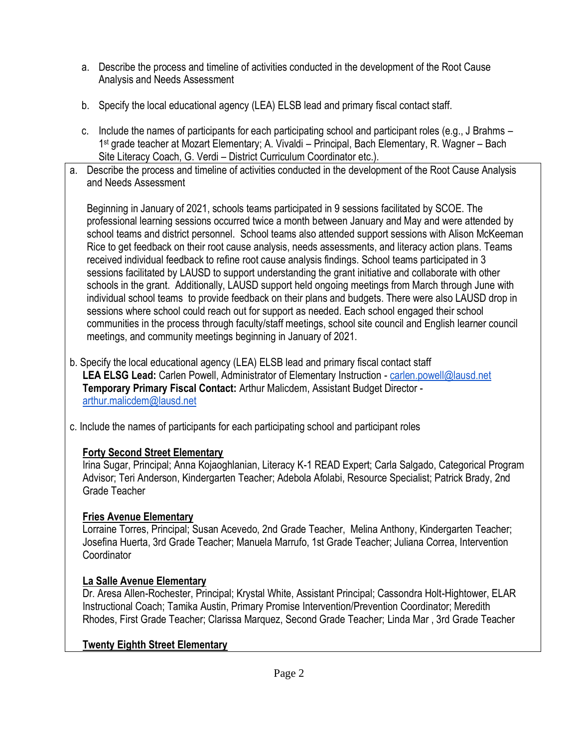- a. Describe the process and timeline of activities conducted in the development of the Root Cause Analysis and Needs Assessment
- b. Specify the local educational agency (LEA) ELSB lead and primary fiscal contact staff.
- c. Include the names of participants for each participating school and participant roles (e.g., J Brahms 1 st grade teacher at Mozart Elementary; A. Vivaldi – Principal, Bach Elementary, R. Wagner – Bach Site Literacy Coach, G. Verdi – District Curriculum Coordinator etc.).
- a. Describe the process and timeline of activities conducted in the development of the Root Cause Analysis and Needs Assessment

Beginning in January of 2021, schools teams participated in 9 sessions facilitated by SCOE. The professional learning sessions occurred twice a month between January and May and were attended by school teams and district personnel. School teams also attended support sessions with Alison McKeeman Rice to get feedback on their root cause analysis, needs assessments, and literacy action plans. Teams received individual feedback to refine root cause analysis findings. School teams participated in 3 sessions facilitated by LAUSD to support understanding the grant initiative and collaborate with other schools in the grant. Additionally, LAUSD support held ongoing meetings from March through June with individual school teams to provide feedback on their plans and budgets. There were also LAUSD drop in sessions where school could reach out for support as needed. Each school engaged their school communities in the process through faculty/staff meetings, school site council and English learner council meetings, and community meetings beginning in January of 2021.

- b. Specify the local educational agency (LEA) ELSB lead and primary fiscal contact staff **LEA ELSG Lead:** Carlen Powell, Administrator of Elementary Instruction - [carlen.powell@lausd.net](mailto:carlen.powell@lausd.net) **Temporary Primary Fiscal Contact:** Arthur Malicdem, Assistant Budget Director [arthur.malicdem@lausd.net](mailto:arthur.malicdem@lausd.net)
- c. Include the names of participants for each participating school and participant roles

#### **Forty Second Street Elementary**

Irina Sugar, Principal; Anna Kojaoghlanian, Literacy K-1 READ Expert; Carla Salgado, Categorical Program Advisor; Teri Anderson, Kindergarten Teacher; Adebola Afolabi, Resource Specialist; Patrick Brady, 2nd Grade Teacher

### **Fries Avenue Elementary**

Lorraine Torres, Principal; Susan Acevedo, 2nd Grade Teacher, Melina Anthony, Kindergarten Teacher; Josefina Huerta, 3rd Grade Teacher; Manuela Marrufo, 1st Grade Teacher; Juliana Correa, Intervention **Coordinator** 

### **La Salle Avenue Elementary**

Dr. Aresa Allen-Rochester, Principal; Krystal White, Assistant Principal; Cassondra Holt-Hightower, ELAR Instructional Coach; Tamika Austin, Primary Promise Intervention/Prevention Coordinator; Meredith Rhodes, First Grade Teacher; Clarissa Marquez, Second Grade Teacher; Linda Mar , 3rd Grade Teacher

### **Twenty Eighth Street Elementary**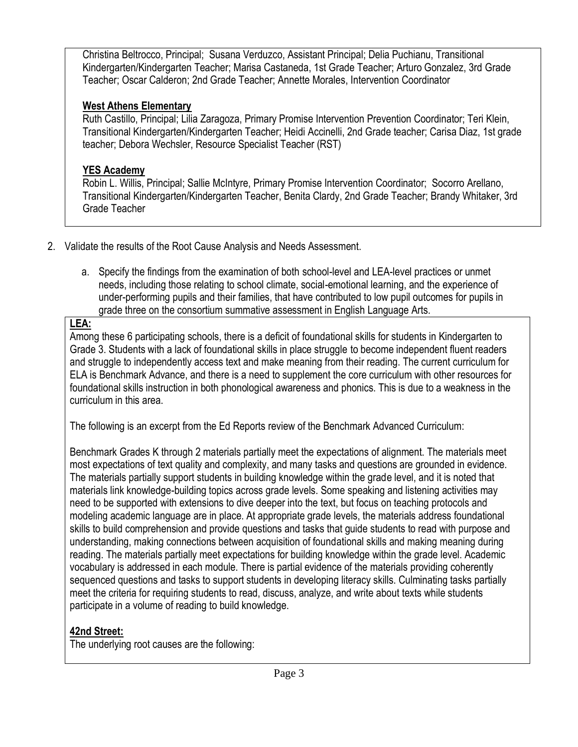Christina Beltrocco, Principal; Susana Verduzco, Assistant Principal; Delia Puchianu, Transitional Kindergarten/Kindergarten Teacher; Marisa Castaneda, 1st Grade Teacher; Arturo Gonzalez, 3rd Grade Teacher; Oscar Calderon; 2nd Grade Teacher; Annette Morales, Intervention Coordinator

## **West Athens Elementary**

Ruth Castillo, Principal; Lilia Zaragoza, Primary Promise Intervention Prevention Coordinator; Teri Klein, Transitional Kindergarten/Kindergarten Teacher; Heidi Accinelli, 2nd Grade teacher; Carisa Diaz, 1st grade teacher; Debora Wechsler, Resource Specialist Teacher (RST)

# **YES Academy**

Robin L. Willis, Principal; Sallie McIntyre, Primary Promise Intervention Coordinator; Socorro Arellano, Transitional Kindergarten/Kindergarten Teacher, Benita Clardy, 2nd Grade Teacher; Brandy Whitaker, 3rd Grade Teacher

- 2. Validate the results of the Root Cause Analysis and Needs Assessment.
	- a. Specify the findings from the examination of both school-level and LEA-level practices or unmet needs, including those relating to school climate, social-emotional learning, and the experience of under-performing pupils and their families, that have contributed to low pupil outcomes for pupils in grade three on the consortium summative assessment in English Language Arts.

# **LEA:**

Among these 6 participating schools, there is a deficit of foundational skills for students in Kindergarten to Grade 3. Students with a lack of foundational skills in place struggle to become independent fluent readers and struggle to independently access text and make meaning from their reading. The current curriculum for ELA is Benchmark Advance, and there is a need to supplement the core curriculum with other resources for foundational skills instruction in both phonological awareness and phonics. This is due to a weakness in the curriculum in this area.

The following is an excerpt from the Ed Reports review of the Benchmark Advanced Curriculum:

Benchmark Grades K through 2 materials partially meet the expectations of alignment. The materials meet most expectations of text quality and complexity, and many tasks and questions are grounded in evidence. The materials partially support students in building knowledge within the grade level, and it is noted that materials link knowledge-building topics across grade levels. Some speaking and listening activities may need to be supported with extensions to dive deeper into the text, but focus on teaching protocols and modeling academic language are in place. At appropriate grade levels, the materials address foundational skills to build comprehension and provide questions and tasks that guide students to read with purpose and understanding, making connections between acquisition of foundational skills and making meaning during reading. The materials partially meet expectations for building knowledge within the grade level. Academic vocabulary is addressed in each module. There is partial evidence of the materials providing coherently sequenced questions and tasks to support students in developing literacy skills. Culminating tasks partially meet the criteria for requiring students to read, discuss, analyze, and write about texts while students participate in a volume of reading to build knowledge.

# **42nd Street:**

The underlying root causes are the following: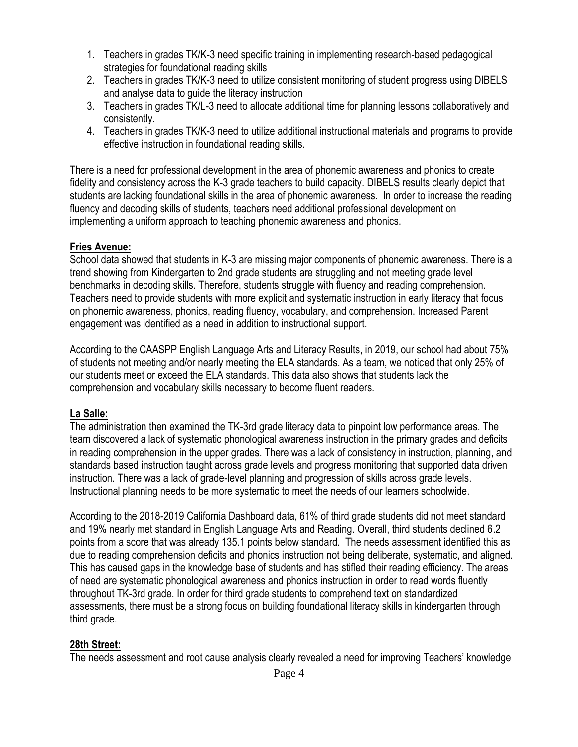- 1. Teachers in grades TK/K-3 need specific training in implementing research-based pedagogical strategies for foundational reading skills
- 2. Teachers in grades TK/K-3 need to utilize consistent monitoring of student progress using DIBELS and analyse data to guide the literacy instruction
- 3. Teachers in grades TK/L-3 need to allocate additional time for planning lessons collaboratively and consistently.
- 4. Teachers in grades TK/K-3 need to utilize additional instructional materials and programs to provide effective instruction in foundational reading skills.

There is a need for professional development in the area of phonemic awareness and phonics to create fidelity and consistency across the K-3 grade teachers to build capacity. DIBELS results clearly depict that students are lacking foundational skills in the area of phonemic awareness. In order to increase the reading fluency and decoding skills of students, teachers need additional professional development on implementing a uniform approach to teaching phonemic awareness and phonics.

### **Fries Avenue:**

School data showed that students in K-3 are missing major components of phonemic awareness. There is a trend showing from Kindergarten to 2nd grade students are struggling and not meeting grade level benchmarks in decoding skills. Therefore, students struggle with fluency and reading comprehension. Teachers need to provide students with more explicit and systematic instruction in early literacy that focus on phonemic awareness, phonics, reading fluency, vocabulary, and comprehension. Increased Parent engagement was identified as a need in addition to instructional support.

According to the CAASPP English Language Arts and Literacy Results, in 2019, our school had about 75% of students not meeting and/or nearly meeting the ELA standards. As a team, we noticed that only 25% of our students meet or exceed the ELA standards. This data also shows that students lack the comprehension and vocabulary skills necessary to become fluent readers.

### **La Salle:**

The administration then examined the TK-3rd grade literacy data to pinpoint low performance areas. The team discovered a lack of systematic phonological awareness instruction in the primary grades and deficits in reading comprehension in the upper grades. There was a lack of consistency in instruction, planning, and standards based instruction taught across grade levels and progress monitoring that supported data driven instruction. There was a lack of grade-level planning and progression of skills across grade levels. Instructional planning needs to be more systematic to meet the needs of our learners schoolwide.

According to the 2018-2019 California Dashboard data, 61% of third grade students did not meet standard and 19% nearly met standard in English Language Arts and Reading. Overall, third students declined 6.2 points from a score that was already 135.1 points below standard. The needs assessment identified this as due to reading comprehension deficits and phonics instruction not being deliberate, systematic, and aligned. This has caused gaps in the knowledge base of students and has stifled their reading efficiency. The areas of need are systematic phonological awareness and phonics instruction in order to read words fluently throughout TK-3rd grade. In order for third grade students to comprehend text on standardized assessments, there must be a strong focus on building foundational literacy skills in kindergarten through third grade.

### **28th Street:**

The needs assessment and root cause analysis clearly revealed a need for improving Teachers' knowledge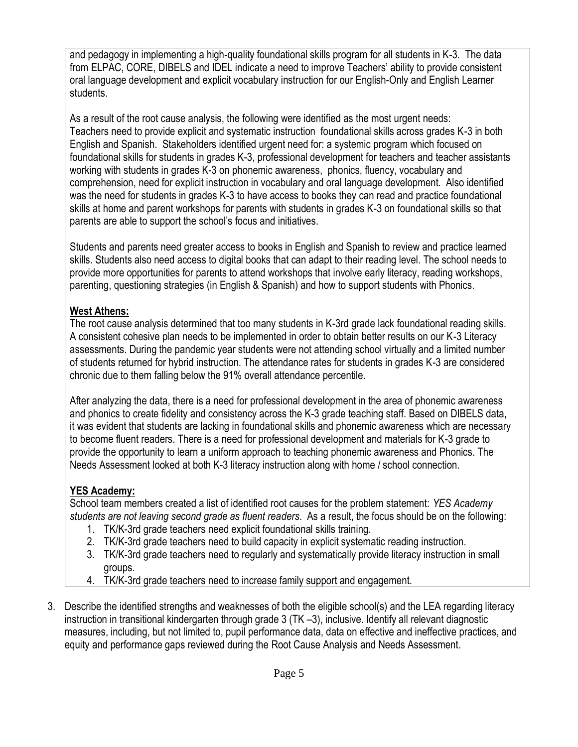and pedagogy in implementing a high-quality foundational skills program for all students in K-3. The data from ELPAC, CORE, DIBELS and IDEL indicate a need to improve Teachers' ability to provide consistent oral language development and explicit vocabulary instruction for our English-Only and English Learner students.

As a result of the root cause analysis, the following were identified as the most urgent needs: Teachers need to provide explicit and systematic instruction foundational skills across grades K-3 in both English and Spanish. Stakeholders identified urgent need for: a systemic program which focused on foundational skills for students in grades K-3, professional development for teachers and teacher assistants working with students in grades K-3 on phonemic awareness, phonics, fluency, vocabulary and comprehension, need for explicit instruction in vocabulary and oral language development. Also identified was the need for students in grades K-3 to have access to books they can read and practice foundational skills at home and parent workshops for parents with students in grades K-3 on foundational skills so that parents are able to support the school's focus and initiatives.

Students and parents need greater access to books in English and Spanish to review and practice learned skills. Students also need access to digital books that can adapt to their reading level. The school needs to provide more opportunities for parents to attend workshops that involve early literacy, reading workshops, parenting, questioning strategies (in English & Spanish) and how to support students with Phonics.

#### **West Athens:**

The root cause analysis determined that too many students in K-3rd grade lack foundational reading skills. A consistent cohesive plan needs to be implemented in order to obtain better results on our K-3 Literacy assessments. During the pandemic year students were not attending school virtually and a limited number of students returned for hybrid instruction. The attendance rates for students in grades K-3 are considered chronic due to them falling below the 91% overall attendance percentile.

After analyzing the data, there is a need for professional development in the area of phonemic awareness and phonics to create fidelity and consistency across the K-3 grade teaching staff. Based on DIBELS data, it was evident that students are lacking in foundational skills and phonemic awareness which are necessary to become fluent readers. There is a need for professional development and materials for K-3 grade to provide the opportunity to learn a uniform approach to teaching phonemic awareness and Phonics. The Needs Assessment looked at both K-3 literacy instruction along with home / school connection.

### **YES Academy:**

School team members created a list of identified root causes for the problem statement: *YES Academy students are not leaving second grade as fluent readers*. As a result, the focus should be on the following:

- 1. TK/K-3rd grade teachers need explicit foundational skills training.
- 2. TK/K-3rd grade teachers need to build capacity in explicit systematic reading instruction.
- 3. TK/K-3rd grade teachers need to regularly and systematically provide literacy instruction in small groups.
- 4. TK/K-3rd grade teachers need to increase family support and engagement.
- 3. Describe the identified strengths and weaknesses of both the eligible school(s) and the LEA regarding literacy instruction in transitional kindergarten through grade 3 (TK –3), inclusive. Identify all relevant diagnostic measures, including, but not limited to, pupil performance data, data on effective and ineffective practices, and equity and performance gaps reviewed during the Root Cause Analysis and Needs Assessment.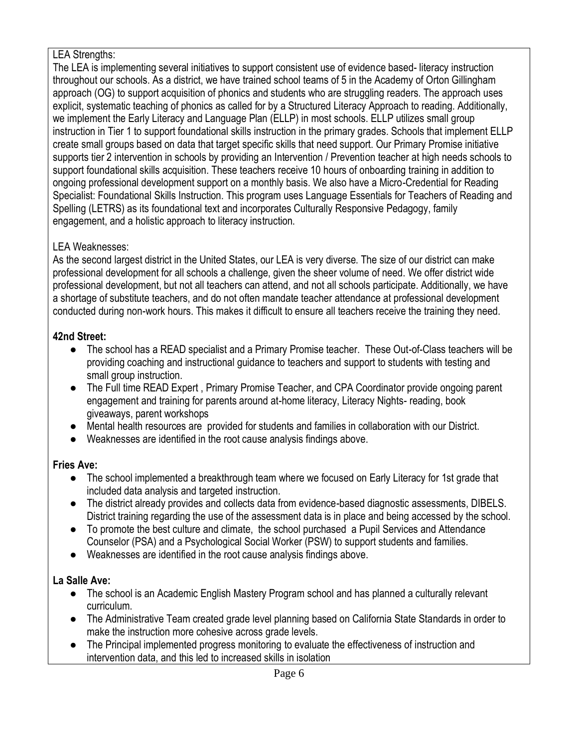#### LEA Strengths:

The LEA is implementing several initiatives to support consistent use of evidence based- literacy instruction throughout our schools. As a district, we have trained school teams of 5 in the Academy of Orton Gillingham approach (OG) to support acquisition of phonics and students who are struggling readers. The approach uses explicit, systematic teaching of phonics as called for by a Structured Literacy Approach to reading. Additionally, we implement the Early Literacy and Language Plan (ELLP) in most schools. ELLP utilizes small group instruction in Tier 1 to support foundational skills instruction in the primary grades. Schools that implement ELLP create small groups based on data that target specific skills that need support. Our Primary Promise initiative supports tier 2 intervention in schools by providing an Intervention / Prevention teacher at high needs schools to support foundational skills acquisition. These teachers receive 10 hours of onboarding training in addition to ongoing professional development support on a monthly basis. We also have a Micro-Credential for Reading Specialist: Foundational Skills Instruction. This program uses Language Essentials for Teachers of Reading and Spelling (LETRS) as its foundational text and incorporates Culturally Responsive Pedagogy, family engagement, and a holistic approach to literacy instruction.

### LEA Weaknesses:

As the second largest district in the United States, our LEA is very diverse. The size of our district can make professional development for all schools a challenge, given the sheer volume of need. We offer district wide professional development, but not all teachers can attend, and not all schools participate. Additionally, we have a shortage of substitute teachers, and do not often mandate teacher attendance at professional development conducted during non-work hours. This makes it difficult to ensure all teachers receive the training they need.

### **42nd Street:**

- The school has a READ specialist and a Primary Promise teacher. These Out-of-Class teachers will be providing coaching and instructional guidance to teachers and support to students with testing and small group instruction.
- The Full time READ Expert, Primary Promise Teacher, and CPA Coordinator provide ongoing parent engagement and training for parents around at-home literacy, Literacy Nights- reading, book giveaways, parent workshops
- Mental health resources are provided for students and families in collaboration with our District.
- Weaknesses are identified in the root cause analysis findings above.

## **Fries Ave:**

- The school implemented a breakthrough team where we focused on Early Literacy for 1st grade that included data analysis and targeted instruction.
- The district already provides and collects data from evidence-based diagnostic assessments, DIBELS. District training regarding the use of the assessment data is in place and being accessed by the school.
- To promote the best culture and climate, the school purchased a Pupil Services and Attendance Counselor (PSA) and a Psychological Social Worker (PSW) to support students and families.
- Weaknesses are identified in the root cause analysis findings above.

## **La Salle Ave:**

- The school is an Academic English Mastery Program school and has planned a culturally relevant curriculum.
- The Administrative Team created grade level planning based on California State Standards in order to make the instruction more cohesive across grade levels.
- The Principal implemented progress monitoring to evaluate the effectiveness of instruction and intervention data, and this led to increased skills in isolation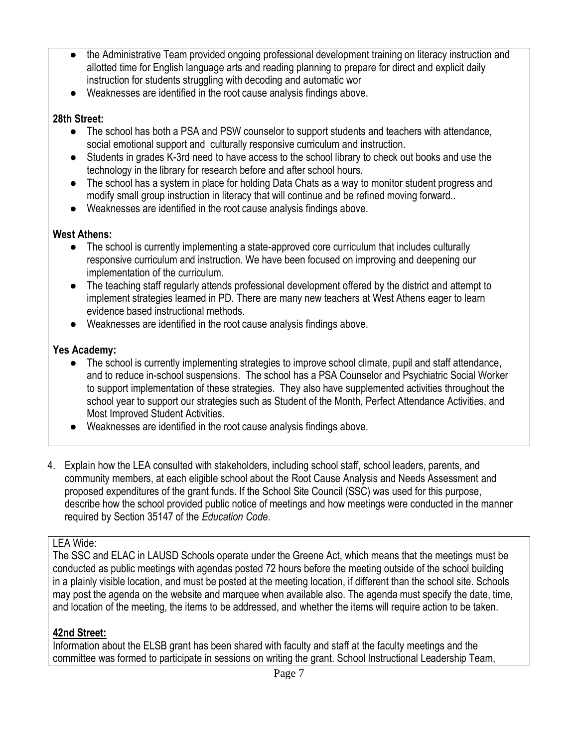- the Administrative Team provided ongoing professional development training on literacy instruction and allotted time for English language arts and reading planning to prepare for direct and explicit daily instruction for students struggling with decoding and automatic wor
- Weaknesses are identified in the root cause analysis findings above.

### **28th Street:**

- The school has both a PSA and PSW counselor to support students and teachers with attendance, social emotional support and culturally responsive curriculum and instruction.
- Students in grades K-3rd need to have access to the school library to check out books and use the technology in the library for research before and after school hours.
- The school has a system in place for holding Data Chats as a way to monitor student progress and modify small group instruction in literacy that will continue and be refined moving forward..
- Weaknesses are identified in the root cause analysis findings above.

## **West Athens:**

- The school is currently implementing a state-approved core curriculum that includes culturally responsive curriculum and instruction. We have been focused on improving and deepening our implementation of the curriculum.
- The teaching staff regularly attends professional development offered by the district and attempt to implement strategies learned in PD. There are many new teachers at West Athens eager to learn evidence based instructional methods.
- Weaknesses are identified in the root cause analysis findings above.

## **Yes Academy:**

- The school is currently implementing strategies to improve school climate, pupil and staff attendance, and to reduce in-school suspensions. The school has a PSA Counselor and Psychiatric Social Worker to support implementation of these strategies. They also have supplemented activities throughout the school year to support our strategies such as Student of the Month, Perfect Attendance Activities, and Most Improved Student Activities.
- Weaknesses are identified in the root cause analysis findings above.
- 4. Explain how the LEA consulted with stakeholders, including school staff, school leaders, parents, and community members, at each eligible school about the Root Cause Analysis and Needs Assessment and proposed expenditures of the grant funds. If the School Site Council (SSC) was used for this purpose, describe how the school provided public notice of meetings and how meetings were conducted in the manner required by Section 35147 of the *Education Code*.

## LEA Wide:

The SSC and ELAC in LAUSD Schools operate under the Greene Act, which means that the meetings must be conducted as public meetings with agendas posted 72 hours before the meeting outside of the school building in a plainly visible location, and must be posted at the meeting location, if different than the school site. Schools may post the agenda on the website and marquee when available also. The agenda must specify the date, time, and location of the meeting, the items to be addressed, and whether the items will require action to be taken.

## **42nd Street:**

Information about the ELSB grant has been shared with faculty and staff at the faculty meetings and the committee was formed to participate in sessions on writing the grant. School Instructional Leadership Team,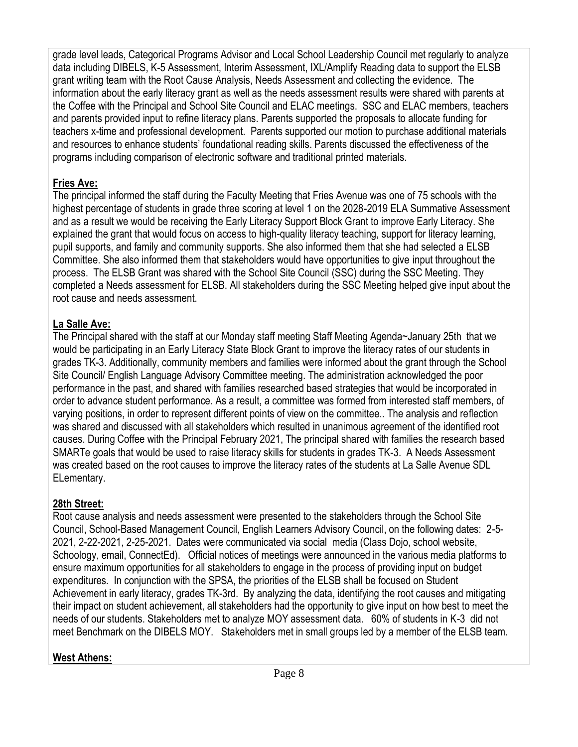grade level leads, Categorical Programs Advisor and Local School Leadership Council met regularly to analyze data including DIBELS, K-5 Assessment, Interim Assessment, IXL/Amplify Reading data to support the ELSB grant writing team with the Root Cause Analysis, Needs Assessment and collecting the evidence. The information about the early literacy grant as well as the needs assessment results were shared with parents at the Coffee with the Principal and School Site Council and ELAC meetings. SSC and ELAC members, teachers and parents provided input to refine literacy plans. Parents supported the proposals to allocate funding for teachers x-time and professional development. Parents supported our motion to purchase additional materials and resources to enhance students' foundational reading skills. Parents discussed the effectiveness of the programs including comparison of electronic software and traditional printed materials.

### **Fries Ave:**

The principal informed the staff during the Faculty Meeting that Fries Avenue was one of 75 schools with the highest percentage of students in grade three scoring at level 1 on the 2028-2019 ELA Summative Assessment and as a result we would be receiving the Early Literacy Support Block Grant to improve Early Literacy. She explained the grant that would focus on access to high-quality literacy teaching, support for literacy learning, pupil supports, and family and community supports. She also informed them that she had selected a ELSB Committee. She also informed them that stakeholders would have opportunities to give input throughout the process. The ELSB Grant was shared with the School Site Council (SSC) during the SSC Meeting. They completed a Needs assessment for ELSB. All stakeholders during the SSC Meeting helped give input about the root cause and needs assessment.

### **La Salle Ave:**

The Principal shared with the staff at our Monday staff meeting Staff Meeting Agenda~January 25th that we would be participating in an Early Literacy State Block Grant to improve the literacy rates of our students in grades TK-3. Additionally, community members and families were informed about the grant through the School Site Council/ English Language Advisory Committee meeting. The administration acknowledged the poor performance in the past, and shared with families researched based strategies that would be incorporated in order to advance student performance. As a result, a committee was formed from interested staff members, of varying positions, in order to represent different points of view on the committee.. The analysis and reflection was shared and discussed with all stakeholders which resulted in unanimous agreement of the identified root causes. During Coffee with the Principal February 2021, The principal shared with families the research based SMARTe goals that would be used to raise literacy skills for students in grades TK-3. A Needs Assessment was created based on the root causes to improve the literacy rates of the students at La Salle Avenue SDL ELementary.

### **28th Street:**

Root cause analysis and needs assessment were presented to the stakeholders through the School Site Council, School-Based Management Council, English Learners Advisory Council, on the following dates: 2-5- 2021, 2-22-2021, 2-25-2021. Dates were communicated via social media (Class Dojo, school website, Schoology, email, ConnectEd). Official notices of meetings were announced in the various media platforms to ensure maximum opportunities for all stakeholders to engage in the process of providing input on budget expenditures. In conjunction with the SPSA, the priorities of the ELSB shall be focused on Student Achievement in early literacy, grades TK-3rd. By analyzing the data, identifying the root causes and mitigating their impact on student achievement, all stakeholders had the opportunity to give input on how best to meet the needs of our students. Stakeholders met to analyze MOY assessment data. 60% of students in K-3 did not meet Benchmark on the DIBELS MOY. Stakeholders met in small groups led by a member of the ELSB team.

### **West Athens:**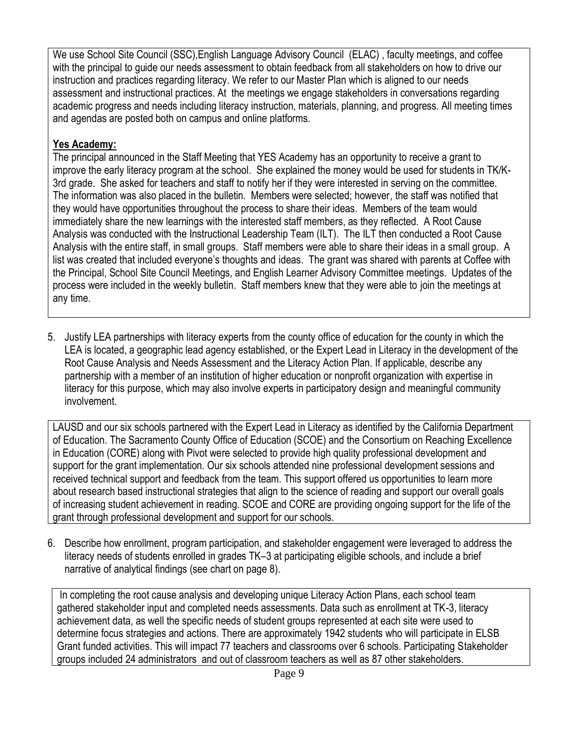We use School Site Council (SSC),English Language Advisory Council (ELAC) , faculty meetings, and coffee with the principal to guide our needs assessment to obtain feedback from all stakeholders on how to drive our instruction and practices regarding literacy. We refer to our Master Plan which is aligned to our needs assessment and instructional practices. At the meetings we engage stakeholders in conversations regarding academic progress and needs including literacy instruction, materials, planning, and progress. All meeting times and agendas are posted both on campus and online platforms.

### **Yes Academy:**

The principal announced in the Staff Meeting that YES Academy has an opportunity to receive a grant to improve the early literacy program at the school. She explained the money would be used for students in TK/K-3rd grade. She asked for teachers and staff to notify her if they were interested in serving on the committee. The information was also placed in the bulletin. Members were selected; however, the staff was notified that they would have opportunities throughout the process to share their ideas. Members of the team would immediately share the new learnings with the interested staff members, as they reflected. A Root Cause Analysis was conducted with the Instructional Leadership Team (ILT). The ILT then conducted a Root Cause Analysis with the entire staff, in small groups. Staff members were able to share their ideas in a small group. A list was created that included everyone's thoughts and ideas. The grant was shared with parents at Coffee with the Principal, School Site Council Meetings, and English Learner Advisory Committee meetings. Updates of the process were included in the weekly bulletin. Staff members knew that they were able to join the meetings at any time.

5. Justify LEA partnerships with literacy experts from the county office of education for the county in which the LEA is located, a geographic lead agency established, or the Expert Lead in Literacy in the development of the Root Cause Analysis and Needs Assessment and the Literacy Action Plan. If applicable, describe any partnership with a member of an institution of higher education or nonprofit organization with expertise in literacy for this purpose, which may also involve experts in participatory design and meaningful community involvement.

LAUSD and our six schools partnered with the Expert Lead in Literacy as identified by the California Department of Education. The Sacramento County Office of Education (SCOE) and the Consortium on Reaching Excellence in Education (CORE) along with Pivot were selected to provide high quality professional development and support for the grant implementation. Our six schools attended nine professional development sessions and received technical support and feedback from the team. This support offered us opportunities to learn more about research based instructional strategies that align to the science of reading and support our overall goals of increasing student achievement in reading. SCOE and CORE are providing ongoing support for the life of the grant through professional development and support for our schools.

6. Describe how enrollment, program participation, and stakeholder engagement were leveraged to address the literacy needs of students enrolled in grades TK–3 at participating eligible schools, and include a brief narrative of analytical findings (see chart on page 8).

In completing the root cause analysis and developing unique Literacy Action Plans, each school team gathered stakeholder input and completed needs assessments. Data such as enrollment at TK-3, literacy achievement data, as well the specific needs of student groups represented at each site were used to determine focus strategies and actions. There are approximately 1942 students who will participate in ELSB Grant funded activities. This will impact 77 teachers and classrooms over 6 schools. Participating Stakeholder groups included 24 administrators and out of classroom teachers as well as 87 other stakeholders.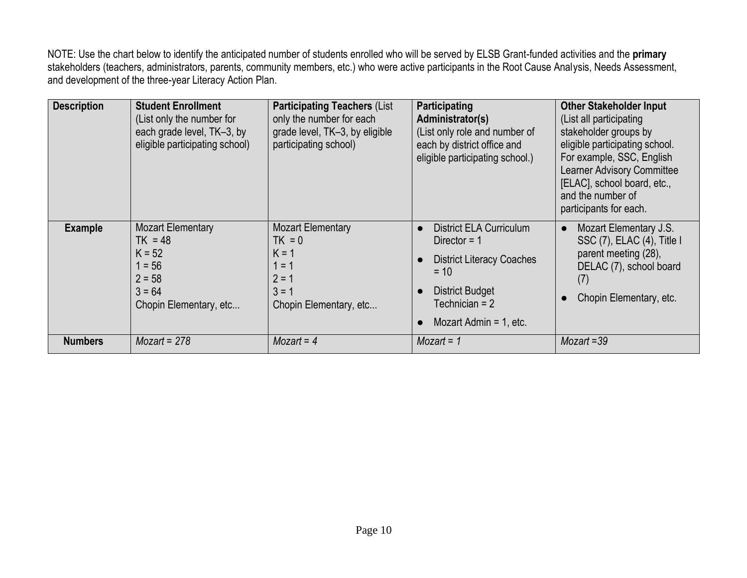NOTE: Use the chart below to identify the anticipated number of students enrolled who will be served by ELSB Grant-funded activities and the **primary** stakeholders (teachers, administrators, parents, community members, etc.) who were active participants in the Root Cause Analysis, Needs Assessment, and development of the three-year Literacy Action Plan.

| <b>Description</b> | <b>Student Enrollment</b><br>(List only the number for<br>each grade level, TK-3, by<br>eligible participating school) | <b>Participating Teachers (List)</b><br>only the number for each<br>grade level, TK-3, by eligible<br>participating school) | Participating<br>Administrator(s)<br>(List only role and number of<br>each by district office and<br>eligible participating school.)                                      | <b>Other Stakeholder Input</b><br>(List all participating<br>stakeholder groups by<br>eligible participating school.<br>For example, SSC, English<br><b>Learner Advisory Committee</b><br>[ELAC], school board, etc.,<br>and the number of<br>participants for each. |
|--------------------|------------------------------------------------------------------------------------------------------------------------|-----------------------------------------------------------------------------------------------------------------------------|---------------------------------------------------------------------------------------------------------------------------------------------------------------------------|----------------------------------------------------------------------------------------------------------------------------------------------------------------------------------------------------------------------------------------------------------------------|
| <b>Example</b>     | <b>Mozart Elementary</b><br>$TK = 48$<br>$K = 52$<br>$1 = 56$<br>$2 = 58$<br>$3 = 64$<br>Chopin Elementary, etc        | <b>Mozart Elementary</b><br>$TK = 0$<br>$K = 1$<br>$1 = 1$<br>$2 = 1$<br>$3 = 1$<br>Chopin Elementary, etc                  | <b>District ELA Curriculum</b><br>Director = $1$<br><b>District Literacy Coaches</b><br>$= 10$<br><b>District Budget</b><br>Technician $= 2$<br>Mozart Admin $= 1$ , etc. | Mozart Elementary J.S.<br>$\bullet$<br>$SSC(7)$ , ELAC $(4)$ , Title I<br>parent meeting (28),<br>DELAC (7), school board<br>(7)<br>Chopin Elementary, etc.                                                                                                          |
| <b>Numbers</b>     | $Mozart = 278$                                                                                                         | $Mozart = 4$                                                                                                                | $Mozart = 1$                                                                                                                                                              | $Mozart = 39$                                                                                                                                                                                                                                                        |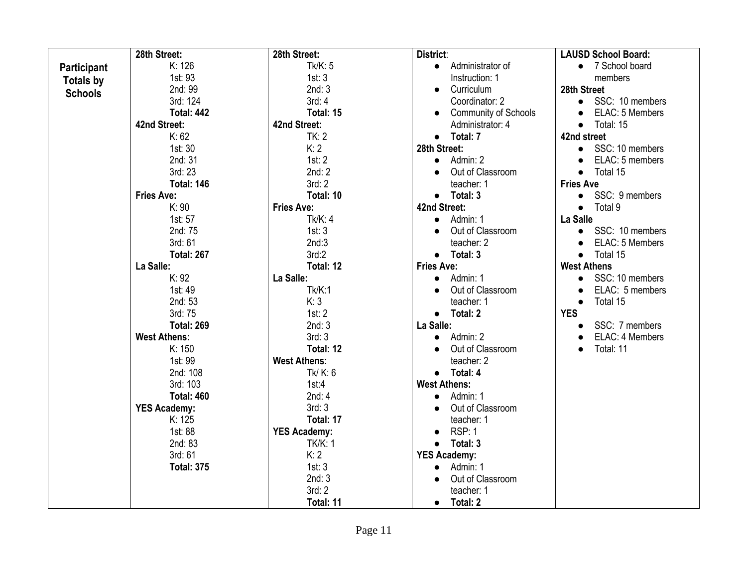|                | 28th Street:        | 28th Street:        | District:                     | <b>LAUSD School Board:</b>   |
|----------------|---------------------|---------------------|-------------------------------|------------------------------|
| Participant    | K: 126              | Tk/K: 5             | Administrator of<br>$\bullet$ | • 7 School board             |
| Totals by      | 1st: 93             | 1st: 3              | Instruction: 1                | members                      |
| <b>Schools</b> | 2nd: 99             | 2nd:3               | Curriculum<br>$\bullet$       | 28th Street                  |
|                | 3rd: 124            | 3rd: 4              | Coordinator: 2                | SSC: 10 members<br>$\bullet$ |
|                | <b>Total: 442</b>   | Total: 15           | <b>Community of Schools</b>   | ELAC: 5 Members              |
|                | 42nd Street:        | 42nd Street:        | Administrator: 4              | Total: 15<br>$\bullet$       |
|                | K: 62               | TK: 2               | $\bullet$ Total: 7            | 42nd street                  |
|                | 1st: 30             | K:2                 | 28th Street:                  | • SSC: 10 members            |
|                | 2nd: 31             | 1st: 2              | Admin: 2<br>$\bullet$         | ELAC: 5 members<br>$\bullet$ |
|                | 3rd: 23             | 2nd: 2              | Out of Classroom              | Total 15<br>$\bullet$        |
|                | <b>Total: 146</b>   | 3rd: 2              | teacher: 1                    | <b>Fries Ave</b>             |
|                | <b>Fries Ave:</b>   | Total: 10           | $\bullet$ Total: 3            | SSC: 9 members<br>$\bullet$  |
|                | K: 90               | <b>Fries Ave:</b>   | 42nd Street:                  | Total 9<br>$\bullet$         |
|                | 1st: 57             | Tk/K: 4             | Admin: 1                      | La Salle                     |
|                | 2nd: 75             | 1st: 3              | Out of Classroom              | SSC: 10 members<br>$\bullet$ |
|                | 3rd: 61             | 2nd:3               | teacher: 2                    | ELAC: 5 Members<br>$\bullet$ |
|                | <b>Total: 267</b>   | 3rd:2               | Total: 3<br>$\bullet$         | Total 15<br>$\bullet$        |
|                | La Salle:           | Total: 12           | <b>Fries Ave:</b>             | <b>West Athens</b>           |
|                | K: 92               | La Salle:           | Admin: 1<br>$\bullet$         | SSC: 10 members<br>$\bullet$ |
|                | 1st: 49             | Tk/K:1              | Out of Classroom              | ELAC: 5 members<br>$\bullet$ |
|                | 2nd: 53             | K:3                 | teacher: 1                    | Total 15<br>$\bullet$        |
|                | 3rd: 75             | 1st: 2              | $\bullet$ Total: 2            | <b>YES</b>                   |
|                | <b>Total: 269</b>   | 2nd:3               | La Salle:                     | SSC: 7 members               |
|                | <b>West Athens:</b> | 3rd: 3              | Admin: 2<br>$\bullet$         | ELAC: 4 Members              |
|                | K: 150              | Total: 12           | Out of Classroom              | Total: 11<br>$\bullet$       |
|                | 1st: 99             | <b>West Athens:</b> | teacher: 2                    |                              |
|                | 2nd: 108            | Tk/K: 6             | $\bullet$ Total: 4            |                              |
|                | 3rd: 103            | 1st:4               | <b>West Athens:</b>           |                              |
|                | <b>Total: 460</b>   | 2nd: 4              | Admin: 1<br>$\bullet$         |                              |
|                | <b>YES Academy:</b> | 3rd: 3              | Out of Classroom<br>$\bullet$ |                              |
|                | K: 125              | Total: 17           | teacher: 1                    |                              |
|                | 1st: 88             | <b>YES Academy:</b> | RSP: 1<br>$\bullet$           |                              |
|                | 2nd: 83             | <b>TK/K: 1</b>      | Total: 3<br>$\bullet$         |                              |
|                | 3rd: 61             | K: 2                | <b>YES Academy:</b>           |                              |
|                | <b>Total: 375</b>   | 1st: 3              | Admin: 1                      |                              |
|                |                     | 2nd:3               | Out of Classroom              |                              |
|                |                     | 3rd:2               | teacher: 1                    |                              |
|                |                     | Total: 11           | Total: 2<br>$\bullet$         |                              |